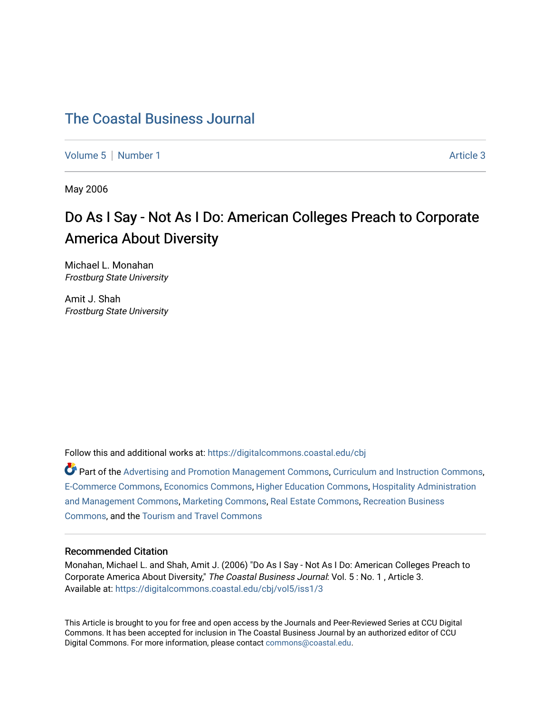## [The Coastal Business Journal](https://digitalcommons.coastal.edu/cbj)

[Volume 5](https://digitalcommons.coastal.edu/cbj/vol5) | [Number 1](https://digitalcommons.coastal.edu/cbj/vol5/iss1) Article 3

May 2006

# Do As I Say - Not As I Do: American Colleges Preach to Corporate America About Diversity

Michael L. Monahan Frostburg State University

Amit J. Shah Frostburg State University

Follow this and additional works at: [https://digitalcommons.coastal.edu/cbj](https://digitalcommons.coastal.edu/cbj?utm_source=digitalcommons.coastal.edu%2Fcbj%2Fvol5%2Fiss1%2F3&utm_medium=PDF&utm_campaign=PDFCoverPages) 

Part of the [Advertising and Promotion Management Commons,](http://network.bepress.com/hgg/discipline/626?utm_source=digitalcommons.coastal.edu%2Fcbj%2Fvol5%2Fiss1%2F3&utm_medium=PDF&utm_campaign=PDFCoverPages) [Curriculum and Instruction Commons,](http://network.bepress.com/hgg/discipline/786?utm_source=digitalcommons.coastal.edu%2Fcbj%2Fvol5%2Fiss1%2F3&utm_medium=PDF&utm_campaign=PDFCoverPages) [E-Commerce Commons,](http://network.bepress.com/hgg/discipline/624?utm_source=digitalcommons.coastal.edu%2Fcbj%2Fvol5%2Fiss1%2F3&utm_medium=PDF&utm_campaign=PDFCoverPages) [Economics Commons](http://network.bepress.com/hgg/discipline/340?utm_source=digitalcommons.coastal.edu%2Fcbj%2Fvol5%2Fiss1%2F3&utm_medium=PDF&utm_campaign=PDFCoverPages), [Higher Education Commons](http://network.bepress.com/hgg/discipline/1245?utm_source=digitalcommons.coastal.edu%2Fcbj%2Fvol5%2Fiss1%2F3&utm_medium=PDF&utm_campaign=PDFCoverPages), [Hospitality Administration](http://network.bepress.com/hgg/discipline/632?utm_source=digitalcommons.coastal.edu%2Fcbj%2Fvol5%2Fiss1%2F3&utm_medium=PDF&utm_campaign=PDFCoverPages) [and Management Commons,](http://network.bepress.com/hgg/discipline/632?utm_source=digitalcommons.coastal.edu%2Fcbj%2Fvol5%2Fiss1%2F3&utm_medium=PDF&utm_campaign=PDFCoverPages) [Marketing Commons](http://network.bepress.com/hgg/discipline/638?utm_source=digitalcommons.coastal.edu%2Fcbj%2Fvol5%2Fiss1%2F3&utm_medium=PDF&utm_campaign=PDFCoverPages), [Real Estate Commons](http://network.bepress.com/hgg/discipline/641?utm_source=digitalcommons.coastal.edu%2Fcbj%2Fvol5%2Fiss1%2F3&utm_medium=PDF&utm_campaign=PDFCoverPages), [Recreation Business](http://network.bepress.com/hgg/discipline/1083?utm_source=digitalcommons.coastal.edu%2Fcbj%2Fvol5%2Fiss1%2F3&utm_medium=PDF&utm_campaign=PDFCoverPages) [Commons](http://network.bepress.com/hgg/discipline/1083?utm_source=digitalcommons.coastal.edu%2Fcbj%2Fvol5%2Fiss1%2F3&utm_medium=PDF&utm_campaign=PDFCoverPages), and the [Tourism and Travel Commons](http://network.bepress.com/hgg/discipline/1082?utm_source=digitalcommons.coastal.edu%2Fcbj%2Fvol5%2Fiss1%2F3&utm_medium=PDF&utm_campaign=PDFCoverPages)

#### Recommended Citation

Monahan, Michael L. and Shah, Amit J. (2006) "Do As I Say - Not As I Do: American Colleges Preach to Corporate America About Diversity," The Coastal Business Journal: Vol. 5 : No. 1, Article 3. Available at: [https://digitalcommons.coastal.edu/cbj/vol5/iss1/3](https://digitalcommons.coastal.edu/cbj/vol5/iss1/3?utm_source=digitalcommons.coastal.edu%2Fcbj%2Fvol5%2Fiss1%2F3&utm_medium=PDF&utm_campaign=PDFCoverPages)

This Article is brought to you for free and open access by the Journals and Peer-Reviewed Series at CCU Digital Commons. It has been accepted for inclusion in The Coastal Business Journal by an authorized editor of CCU Digital Commons. For more information, please contact [commons@coastal.edu](mailto:commons@coastal.edu).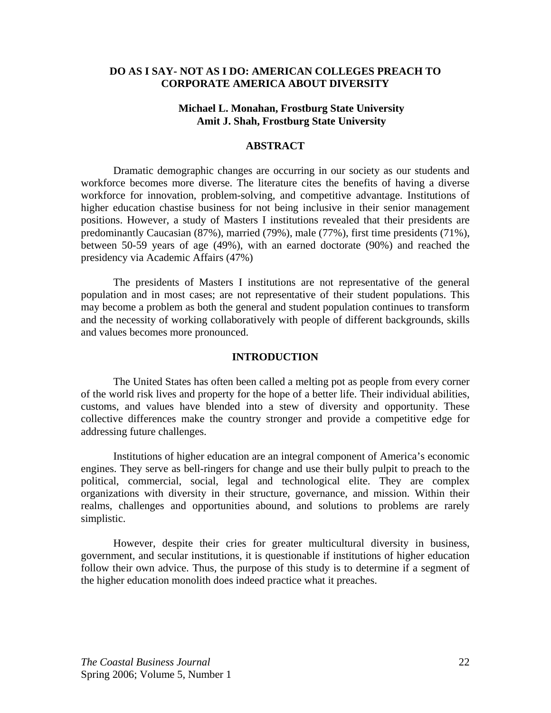## **DO AS I SAY- NOT AS I DO: AMERICAN COLLEGES PREACH TO CORPORATE AMERICA ABOUT DIVERSITY**

## **Michael L. Monahan, Frostburg State University Amit J. Shah, Frostburg State University**

#### **ABSTRACT**

Dramatic demographic changes are occurring in our society as our students and workforce becomes more diverse. The literature cites the benefits of having a diverse workforce for innovation, problem-solving, and competitive advantage. Institutions of higher education chastise business for not being inclusive in their senior management positions. However, a study of Masters I institutions revealed that their presidents are predominantly Caucasian (87%), married (79%), male (77%), first time presidents (71%), between 50-59 years of age (49%), with an earned doctorate (90%) and reached the presidency via Academic Affairs (47%)

 The presidents of Masters I institutions are not representative of the general population and in most cases; are not representative of their student populations. This may become a problem as both the general and student population continues to transform and the necessity of working collaboratively with people of different backgrounds, skills and values becomes more pronounced.

#### **INTRODUCTION**

The United States has often been called a melting pot as people from every corner of the world risk lives and property for the hope of a better life. Their individual abilities, customs, and values have blended into a stew of diversity and opportunity. These collective differences make the country stronger and provide a competitive edge for addressing future challenges.

Institutions of higher education are an integral component of America's economic engines. They serve as bell-ringers for change and use their bully pulpit to preach to the political, commercial, social, legal and technological elite. They are complex organizations with diversity in their structure, governance, and mission. Within their realms, challenges and opportunities abound, and solutions to problems are rarely simplistic.

However, despite their cries for greater multicultural diversity in business, government, and secular institutions, it is questionable if institutions of higher education follow their own advice. Thus, the purpose of this study is to determine if a segment of the higher education monolith does indeed practice what it preaches.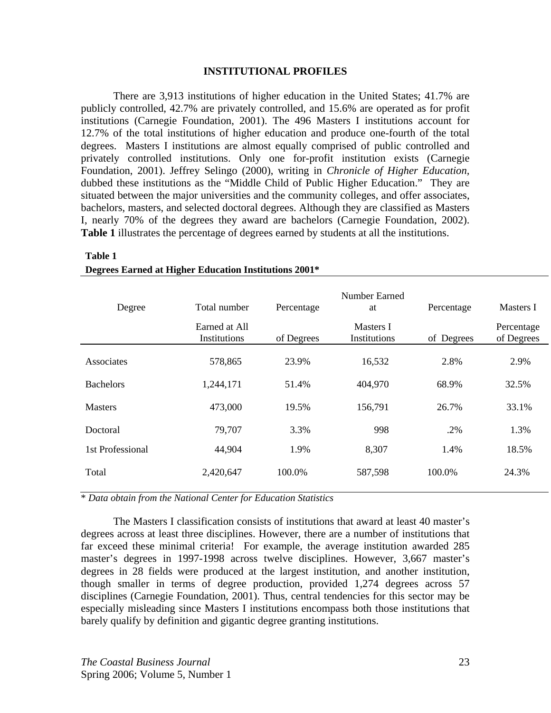#### **INSTITUTIONAL PROFILES**

There are 3,913 institutions of higher education in the United States; 41.7% are publicly controlled, 42.7% are privately controlled, and 15.6% are operated as for profit institutions (Carnegie Foundation, 2001). The 496 Masters I institutions account for 12.7% of the total institutions of higher education and produce one-fourth of the total degrees. Masters I institutions are almost equally comprised of public controlled and privately controlled institutions. Only one for-profit institution exists (Carnegie Foundation, 2001). Jeffrey Selingo (2000), writing in *Chronicle of Higher Education,* dubbed these institutions as the "Middle Child of Public Higher Education." They are situated between the major universities and the community colleges, and offer associates, bachelors, masters, and selected doctoral degrees. Although they are classified as Masters I, nearly 70% of the degrees they award are bachelors (Carnegie Foundation, 2002). **Table 1** illustrates the percentage of degrees earned by students at all the institutions.

| Degree           | Total number                  | Percentage | Number Earned<br>at       | Percentage | Masters I                |
|------------------|-------------------------------|------------|---------------------------|------------|--------------------------|
|                  | Earned at All<br>Institutions | of Degrees | Masters I<br>Institutions | of Degrees | Percentage<br>of Degrees |
| Associates       | 578,865                       | 23.9%      | 16,532                    | 2.8%       | 2.9%                     |
| <b>Bachelors</b> | 1,244,171                     | 51.4%      | 404,970                   | 68.9%      | 32.5%                    |
| <b>Masters</b>   | 473,000                       | 19.5%      | 156,791                   | 26.7%      | 33.1%                    |
| Doctoral         | 79,707                        | 3.3%       | 998                       | .2%        | 1.3%                     |
| 1st Professional | 44,904                        | 1.9%       | 8,307                     | 1.4%       | 18.5%                    |
| Total            | 2,420,647                     | 100.0%     | 587,598                   | 100.0%     | 24.3%                    |

## **Table 1 Degrees Earned at Higher Education Institutions 2001\***

\* *Data obtain from the National Center for Education Statistics*

The Masters I classification consists of institutions that award at least 40 master's degrees across at least three disciplines. However, there are a number of institutions that far exceed these minimal criteria! For example, the average institution awarded 285 master's degrees in 1997-1998 across twelve disciplines. However, 3,667 master's degrees in 28 fields were produced at the largest institution, and another institution, though smaller in terms of degree production, provided 1,274 degrees across 57 disciplines (Carnegie Foundation, 2001). Thus, central tendencies for this sector may be especially misleading since Masters I institutions encompass both those institutions that barely qualify by definition and gigantic degree granting institutions.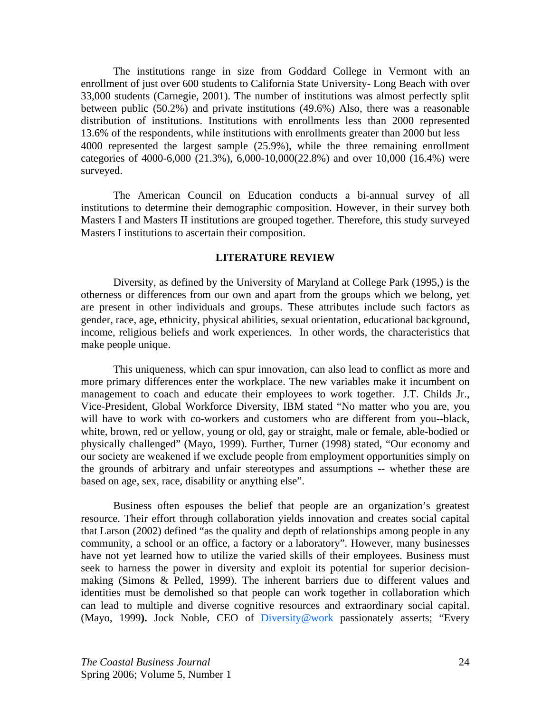The institutions range in size from Goddard College in Vermont with an enrollment of just over 600 students to California State University- Long Beach with over 33,000 students (Carnegie, 2001). The number of institutions was almost perfectly split between public (50.2%) and private institutions (49.6%) Also, there was a reasonable distribution of institutions. Institutions with enrollments less than 2000 represented 13.6% of the respondents, while institutions with enrollments greater than 2000 but less 4000 represented the largest sample (25.9%), while the three remaining enrollment categories of 4000-6,000 (21.3%), 6,000-10,000(22.8%) and over 10,000 (16.4%) were surveyed.

The American Council on Education conducts a bi-annual survey of all institutions to determine their demographic composition. However, in their survey both Masters I and Masters II institutions are grouped together. Therefore, this study surveyed Masters I institutions to ascertain their composition.

### **LITERATURE REVIEW**

Diversity, as defined by the University of Maryland at College Park (1995,) is the otherness or differences from our own and apart from the groups which we belong, yet are present in other individuals and groups. These attributes include such factors as gender, race, age, ethnicity, physical abilities, sexual orientation, educational background, income, religious beliefs and work experiences. In other words, the characteristics that make people unique.

This uniqueness, which can spur innovation, can also lead to conflict as more and more primary differences enter the workplace. The new variables make it incumbent on management to coach and educate their employees to work together. J.T. Childs Jr., Vice-President, Global Workforce Diversity, IBM stated "No matter who you are, you will have to work with co-workers and customers who are different from you--black, white, brown, red or yellow, young or old, gay or straight, male or female, able-bodied or physically challenged" (Mayo, 1999). Further, Turner (1998) stated, "Our economy and our society are weakened if we exclude people from employment opportunities simply on the grounds of arbitrary and unfair stereotypes and assumptions -- whether these are based on age, sex, race, disability or anything else".

Business often espouses the belief that people are an organization's greatest resource. Their effort through collaboration yields innovation and creates social capital that Larson (2002) defined "as the quality and depth of relationships among people in any community, a school or an office, a factory or a laboratory". However, many businesses have not yet learned how to utilize the varied skills of their employees. Business must seek to harness the power in diversity and exploit its potential for superior decisionmaking (Simons & Pelled, 1999). The inherent barriers due to different values and identities must be demolished so that people can work together in collaboration which can lead to multiple and diverse cognitive resources and extraordinary social capital. (Mayo, 1999**).** Jock Noble, CEO of Diversity@work passionately asserts; "Every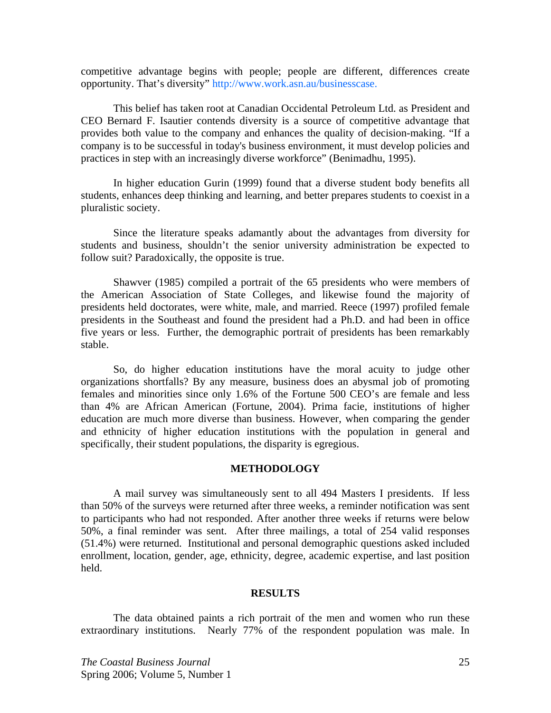competitive advantage begins with people; people are different, differences create opportunity. That's diversity" http://www.work.asn.au/businesscase.

This belief has taken root at Canadian Occidental Petroleum Ltd. as President and CEO Bernard F. Isautier contends diversity is a source of competitive advantage that provides both value to the company and enhances the quality of decision-making. "If a company is to be successful in today's business environment, it must develop policies and practices in step with an increasingly diverse workforce" (Benimadhu, 1995).

In higher education Gurin (1999) found that a diverse student body benefits all students, enhances deep thinking and learning, and better prepares students to coexist in a pluralistic society.

Since the literature speaks adamantly about the advantages from diversity for students and business, shouldn't the senior university administration be expected to follow suit? Paradoxically, the opposite is true.

Shawver (1985) compiled a portrait of the 65 presidents who were members of the American Association of State Colleges, and likewise found the majority of presidents held doctorates, were white, male, and married. Reece (1997) profiled female presidents in the Southeast and found the president had a Ph.D. and had been in office five years or less. Further, the demographic portrait of presidents has been remarkably stable.

So, do higher education institutions have the moral acuity to judge other organizations shortfalls? By any measure, business does an abysmal job of promoting females and minorities since only 1.6% of the Fortune 500 CEO's are female and less than 4% are African American (Fortune, 2004). Prima facie, institutions of higher education are much more diverse than business. However, when comparing the gender and ethnicity of higher education institutions with the population in general and specifically, their student populations, the disparity is egregious.

#### **METHODOLOGY**

A mail survey was simultaneously sent to all 494 Masters I presidents. If less than 50% of the surveys were returned after three weeks, a reminder notification was sent to participants who had not responded. After another three weeks if returns were below 50%, a final reminder was sent. After three mailings, a total of 254 valid responses (51.4%) were returned. Institutional and personal demographic questions asked included enrollment, location, gender, age, ethnicity, degree, academic expertise, and last position held.

#### **RESULTS**

 The data obtained paints a rich portrait of the men and women who run these extraordinary institutions. Nearly 77% of the respondent population was male. In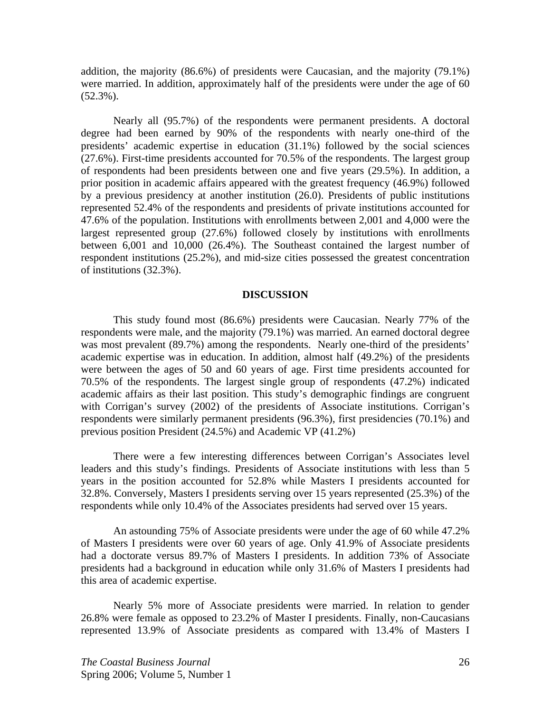addition, the majority (86.6%) of presidents were Caucasian, and the majority (79.1%) were married. In addition, approximately half of the presidents were under the age of 60 (52.3%).

Nearly all (95.7%) of the respondents were permanent presidents. A doctoral degree had been earned by 90% of the respondents with nearly one-third of the presidents' academic expertise in education (31.1%) followed by the social sciences (27.6%). First-time presidents accounted for 70.5% of the respondents. The largest group of respondents had been presidents between one and five years (29.5%). In addition, a prior position in academic affairs appeared with the greatest frequency (46.9%) followed by a previous presidency at another institution (26.0). Presidents of public institutions represented 52.4% of the respondents and presidents of private institutions accounted for 47.6% of the population. Institutions with enrollments between 2,001 and 4,000 were the largest represented group (27.6%) followed closely by institutions with enrollments between 6,001 and 10,000 (26.4%). The Southeast contained the largest number of respondent institutions (25.2%), and mid-size cities possessed the greatest concentration of institutions (32.3%).

#### **DISCUSSION**

This study found most (86.6%) presidents were Caucasian. Nearly 77% of the respondents were male, and the majority (79.1%) was married. An earned doctoral degree was most prevalent (89.7%) among the respondents. Nearly one-third of the presidents' academic expertise was in education. In addition, almost half (49.2%) of the presidents were between the ages of 50 and 60 years of age. First time presidents accounted for 70.5% of the respondents. The largest single group of respondents (47.2%) indicated academic affairs as their last position. This study's demographic findings are congruent with Corrigan's survey (2002) of the presidents of Associate institutions. Corrigan's respondents were similarly permanent presidents (96.3%), first presidencies (70.1%) and previous position President (24.5%) and Academic VP (41.2%)

There were a few interesting differences between Corrigan's Associates level leaders and this study's findings. Presidents of Associate institutions with less than 5 years in the position accounted for 52.8% while Masters I presidents accounted for 32.8%. Conversely, Masters I presidents serving over 15 years represented (25.3%) of the respondents while only 10.4% of the Associates presidents had served over 15 years.

An astounding 75% of Associate presidents were under the age of 60 while 47.2% of Masters I presidents were over 60 years of age. Only 41.9% of Associate presidents had a doctorate versus 89.7% of Masters I presidents. In addition 73% of Associate presidents had a background in education while only 31.6% of Masters I presidents had this area of academic expertise.

Nearly 5% more of Associate presidents were married. In relation to gender 26.8% were female as opposed to 23.2% of Master I presidents. Finally, non-Caucasians represented 13.9% of Associate presidents as compared with 13.4% of Masters I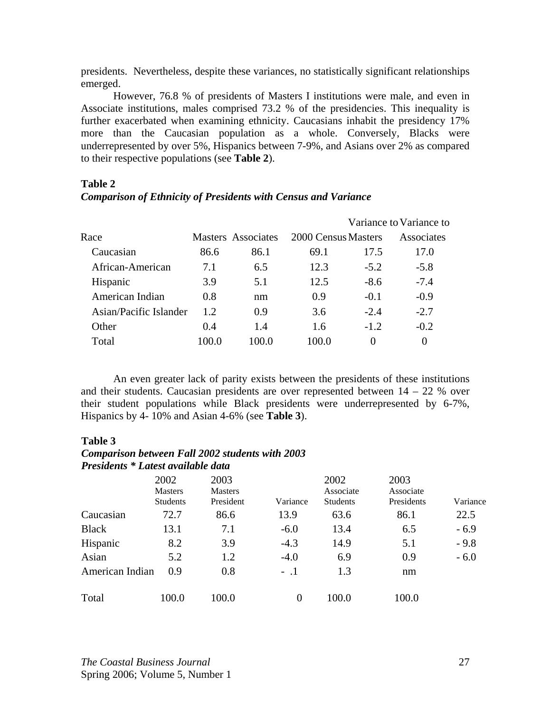presidents. Nevertheless, despite these variances, no statistically significant relationships emerged.

However, 76.8 % of presidents of Masters I institutions were male, and even in Associate institutions, males comprised 73.2 % of the presidencies. This inequality is further exacerbated when examining ethnicity. Caucasians inhabit the presidency 17% more than the Caucasian population as a whole. Conversely, Blacks were underrepresented by over 5%, Hispanics between 7-9%, and Asians over 2% as compared to their respective populations (see **Table 2**).

## **Table 2**

## *Comparison of Ethnicity of Presidents with Census and Variance*

|                        |       |                    |                     |          | Variance to Variance to |
|------------------------|-------|--------------------|---------------------|----------|-------------------------|
| Race                   |       | Masters Associates | 2000 Census Masters |          | Associates              |
| Caucasian              | 86.6  | 86.1               | 69.1                | 17.5     | 17.0                    |
| African-American       | 7.1   | 6.5                | 12.3                | $-5.2$   | $-5.8$                  |
| Hispanic               | 3.9   | 5.1                | 12.5                | $-8.6$   | $-7.4$                  |
| American Indian        | 0.8   | nm                 | 0.9                 | $-0.1$   | $-0.9$                  |
| Asian/Pacific Islander | 1.2.  | 0.9                | 3.6                 | $-2.4$   | $-2.7$                  |
| Other                  | 0.4   | 1.4                | 1.6                 | $-1.2$   | $-0.2$                  |
| Total                  | 100.0 | 100.0              | 100.0               | $\theta$ | $\Omega$                |
|                        |       |                    |                     |          |                         |

An even greater lack of parity exists between the presidents of these institutions and their students. Caucasian presidents are over represented between  $14 - 22$  % over their student populations while Black presidents were underrepresented by 6-7%, Hispanics by 4- 10% and Asian 4-6% (see **Table 3**).

## **Table 3**

## *Comparison between Fall 2002 students with 2003 Presidents \* Latest available data*

|                 | 2002<br><b>Masters</b><br><b>Students</b> | 2003<br><b>Masters</b><br>President | Variance | 2002<br>Associate<br><b>Students</b> | 2003<br>Associate<br>Presidents | Variance |
|-----------------|-------------------------------------------|-------------------------------------|----------|--------------------------------------|---------------------------------|----------|
| Caucasian       | 72.7                                      | 86.6                                | 13.9     | 63.6                                 | 86.1                            | 22.5     |
| <b>Black</b>    | 13.1                                      | 7.1                                 | $-6.0$   | 13.4                                 | 6.5                             | $-6.9$   |
| Hispanic        | 8.2                                       | 3.9                                 | $-4.3$   | 14.9                                 | 5.1                             | $-9.8$   |
| Asian           | 5.2                                       | 1.2                                 | $-4.0$   | 6.9                                  | 0.9                             | $-6.0$   |
| American Indian | 0.9                                       | 0.8                                 | $-.1$    | 1.3                                  | nm                              |          |
| Total           | 100.0                                     | 100.0                               | $\theta$ | 100.0                                | 100.0                           |          |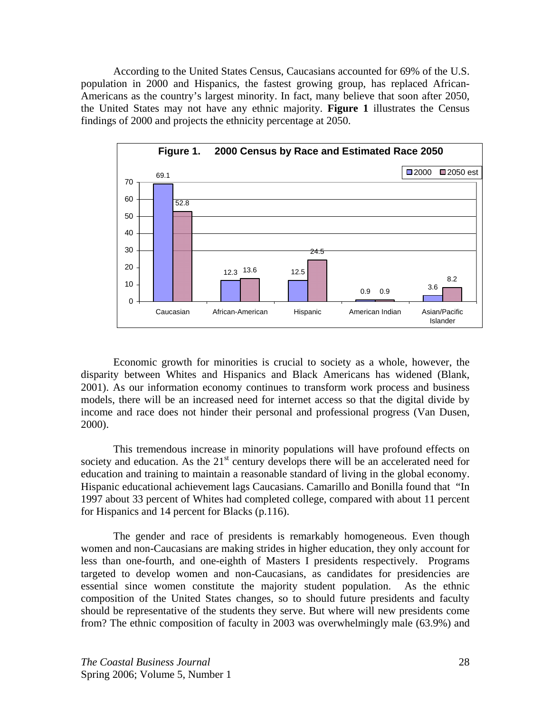According to the United States Census, Caucasians accounted for 69% of the U.S. population in 2000 and Hispanics, the fastest growing group, has replaced African-Americans as the country's largest minority. In fact, many believe that soon after 2050, the United States may not have any ethnic majority. **Figure 1** illustrates the Census findings of 2000 and projects the ethnicity percentage at 2050.



Economic growth for minorities is crucial to society as a whole, however, the disparity between Whites and Hispanics and Black Americans has widened (Blank, 2001). As our information economy continues to transform work process and business models, there will be an increased need for internet access so that the digital divide by income and race does not hinder their personal and professional progress (Van Dusen, 2000).

This tremendous increase in minority populations will have profound effects on society and education. As the  $21<sup>st</sup>$  century develops there will be an accelerated need for education and training to maintain a reasonable standard of living in the global economy. Hispanic educational achievement lags Caucasians. Camarillo and Bonilla found that "In 1997 about 33 percent of Whites had completed college, compared with about 11 percent for Hispanics and 14 percent for Blacks (p.116).

The gender and race of presidents is remarkably homogeneous. Even though women and non-Caucasians are making strides in higher education, they only account for less than one-fourth, and one-eighth of Masters I presidents respectively. Programs targeted to develop women and non-Caucasians, as candidates for presidencies are essential since women constitute the majority student population. As the ethnic composition of the United States changes, so to should future presidents and faculty should be representative of the students they serve. But where will new presidents come from? The ethnic composition of faculty in 2003 was overwhelmingly male (63.9%) and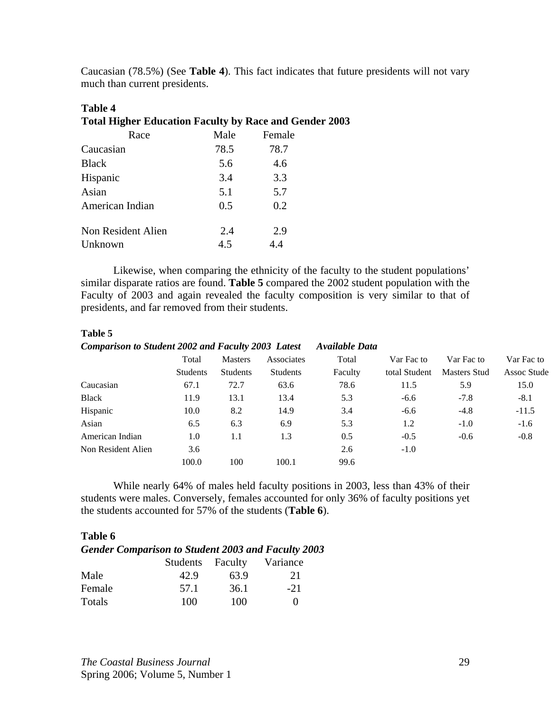Caucasian (78.5%) (See **Table 4**). This fact indicates that future presidents will not vary much than current presidents.

# **Table 4 Total Higher Education Faculty by Race and Gender 2003**

| Race               | Male | Female |
|--------------------|------|--------|
| Caucasian          | 78.5 | 78.7   |
| <b>Black</b>       | 5.6  | 4.6    |
| Hispanic           | 3.4  | 3.3    |
| Asian              | 5.1  | 5.7    |
| American Indian    | 0.5  | 0.2    |
| Non Resident Alien | 2.4  | 2.9    |
| Unknown            | 4.5  | 4.4    |

Likewise, when comparing the ethnicity of the faculty to the student populations' similar disparate ratios are found. **Table 5** compared the 2002 student population with the Faculty of 2003 and again revealed the faculty composition is very similar to that of presidents, and far removed from their students.

## **Table 5**

| <b>Comparison to Student 2002 and Faculty 2003 Latest</b> |                 |                 |                 | Available Data |               |                     |                    |
|-----------------------------------------------------------|-----------------|-----------------|-----------------|----------------|---------------|---------------------|--------------------|
|                                                           | Total           | <b>Masters</b>  | Associates      | Total          | Var Fac to    | Var Fac to          | Var Fac to         |
|                                                           | <b>Students</b> | <b>Students</b> | <b>Students</b> | Faculty        | total Student | <b>Masters Stud</b> | <b>Assoc Stude</b> |
| Caucasian                                                 | 67.1            | 72.7            | 63.6            | 78.6           | 11.5          | 5.9                 | 15.0               |
| <b>Black</b>                                              | 11.9            | 13.1            | 13.4            | 5.3            | $-6.6$        | $-7.8$              | $-8.1$             |
| Hispanic                                                  | 10.0            | 8.2             | 14.9            | 3.4            | $-6.6$        | $-4.8$              | $-11.5$            |
| Asian                                                     | 6.5             | 6.3             | 6.9             | 5.3            | 1.2           | $-1.0$              | $-1.6$             |
| American Indian                                           | 1.0             | 1.1             | 1.3             | 0.5            | $-0.5$        | $-0.6$              | $-0.8$             |
| Non Resident Alien                                        | 3.6             |                 |                 | 2.6            | $-1.0$        |                     |                    |
|                                                           | 100.0           | 100             | 100.1           | 99.6           |               |                     |                    |

While nearly 64% of males held faculty positions in 2003, less than 43% of their students were males. Conversely, females accounted for only 36% of faculty positions yet the students accounted for 57% of the students (**Table 6**).

## **Table 6**  *Gender Comparison to Student 2003 and Faculty 2003*

|        | Students Faculty |      | Variance          |
|--------|------------------|------|-------------------|
| Male   | 42.9             | 63.9 | 21                |
| Female | 57.1             | 36.1 | $-21$             |
| Totals | 100              | 100  | $\mathbf{\Omega}$ |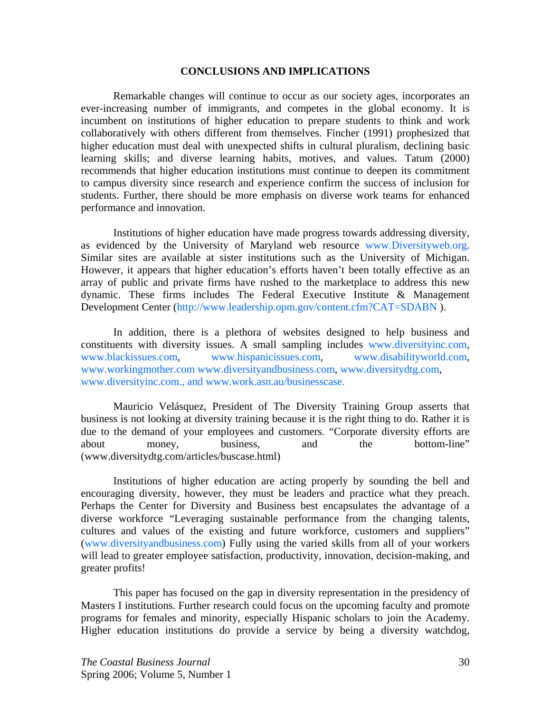#### **CONCLUSIONS AND IMPLICATIONS**

 Remarkable changes will continue to occur as our society ages, incorporates an ever-increasing number of immigrants, and competes in the global economy. It is incumbent on institutions of higher education to prepare students to think and work collaboratively with others different from themselves. Fincher (1991) prophesized that higher education must deal with unexpected shifts in cultural pluralism, declining basic learning skills; and diverse learning habits, motives, and values. Tatum (2000) recommends that higher education institutions must continue to deepen its commitment to campus diversity since research and experience confirm the success of inclusion for students. Further, there should be more emphasis on diverse work teams for enhanced performance and innovation.

 Institutions of higher education have made progress towards addressing diversity, as evidenced by the University of Maryland web resource www.Diversityweb.org. Similar sites are available at sister institutions such as the University of Michigan. However, it appears that higher education's efforts haven't been totally effective as an array of public and private firms have rushed to the marketplace to address this new dynamic. These firms includes The Federal Executive Institute & Management Development Center (http://www.leadership.opm.gov/content.cfm?CAT=SDABN ).

In addition, there is a plethora of websites designed to help business and constituents with diversity issues. A small sampling includes www.diversityinc.com, www.blackissues.com, www.hispanicissues.com, www.disabilityworld.com, www.workingmother.com www.diversityandbusiness.com, www.diversitydtg.com, www.diversityinc.com., and www.work.asn.au/businesscase.

Mauricio Velásquez, President of The Diversity Training Group asserts that business is not looking at diversity training because it is the right thing to do. Rather it is due to the demand of your employees and customers. "Corporate diversity efforts are about money, business, and the bottom-line" (www.diversitydtg.com/articles/buscase.html)

Institutions of higher education are acting properly by sounding the bell and encouraging diversity, however, they must be leaders and practice what they preach. Perhaps the Center for Diversity and Business best encapsulates the advantage of a diverse workforce "Leveraging sustainable performance from the changing talents, cultures and values of the existing and future workforce, customers and suppliers" (www.diversityandbusiness.com) Fully using the varied skills from all of your workers will lead to greater employee satisfaction, productivity, innovation, decision-making, and greater profits!

This paper has focused on the gap in diversity representation in the presidency of Masters I institutions. Further research could focus on the upcoming faculty and promote programs for females and minority, especially Hispanic scholars to join the Academy. Higher education institutions do provide a service by being a diversity watchdog,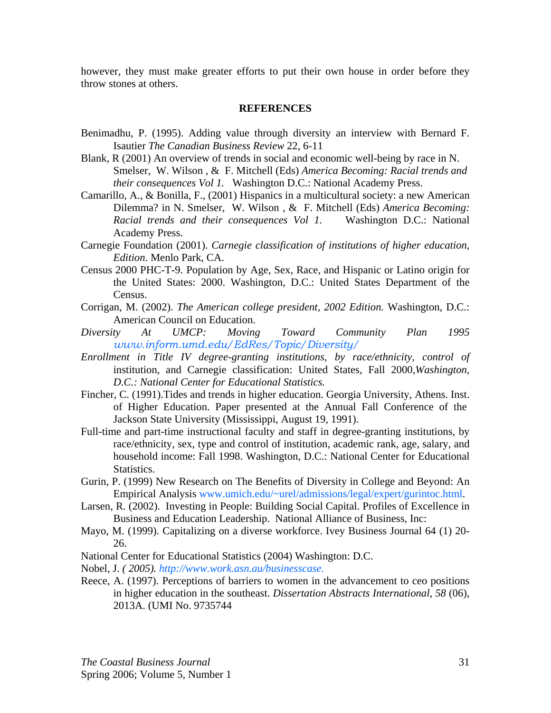however, they must make greater efforts to put their own house in order before they throw stones at others.

#### **REFERENCES**

- Benimadhu, P. (1995). Adding value through diversity an interview with Bernard F. Isautier *The Canadian Business Review* 22, 6-11
- Blank, R (2001) An overview of trends in social and economic well-being by race in N. Smelser, W. Wilson , & F. Mitchell (Eds) *America Becoming: Racial trends and their consequences Vol 1.* Washington D.C.: National Academy Press.
- Camarillo, A., & Bonilla, F., (2001) Hispanics in a multicultural society: a new American Dilemma? in N. Smelser, W. Wilson , & F. Mitchell (Eds) *America Becoming: Racial trends and their consequences Vol 1.* Washington D.C.: National Academy Press.
- Carnegie Foundation (2001). *Carnegie classification of institutions of higher education, Edition*. Menlo Park, CA.
- Census 2000 PHC-T-9. Population by Age, Sex, Race, and Hispanic or Latino origin for the United States: 2000. Washington, D.C.: United States Department of the Census.
- Corrigan, M. (2002). *The American college president, 2002 Edition.* Washington, D.C.: American Council on Education.
- *Diversity At UMCP: Moving Toward Community Plan 1995 www.inform.umd.edu/EdRes/Topic/Diversity/*
- *Enrollment in Title IV degree-granting institutions, by race/ethnicity, control of*  institution, and Carnegie classification: United States, Fall 2000*,Washington, D.C.: National Center for Educational Statistics.*
- Fincher, C. (1991).Tides and trends in higher education. Georgia University, Athens. Inst. of Higher Education. Paper presented at the Annual Fall Conference of the Jackson State University (Mississippi, August 19, 1991).
- Full-time and part-time instructional faculty and staff in degree-granting institutions, by race/ethnicity, sex, type and control of institution, academic rank, age, salary, and household income: Fall 1998. Washington, D.C.: National Center for Educational Statistics.
- Gurin, P. (1999) New Research on The Benefits of Diversity in College and Beyond: An Empirical Analysis www.umich.edu/~urel/admissions/legal/expert/gurintoc.html.
- Larsen, R. (2002). Investing in People: Building Social Capital. Profiles of Excellence in Business and Education Leadership. National Alliance of Business, Inc:
- Mayo, M. (1999). Capitalizing on a diverse workforce. Ivey Business Journal 64 (1) 20- 26.
- National Center for Educational Statistics (2004) Washington: D.C.
- Nobel, J. *( 2005). http://www.work.asn.au/businesscase.*
- Reece, A. (1997). Perceptions of barriers to women in the advancement to ceo positions in higher education in the southeast. *Dissertation Abstracts International*, *58* (06), 2013A. (UMI No. 9735744